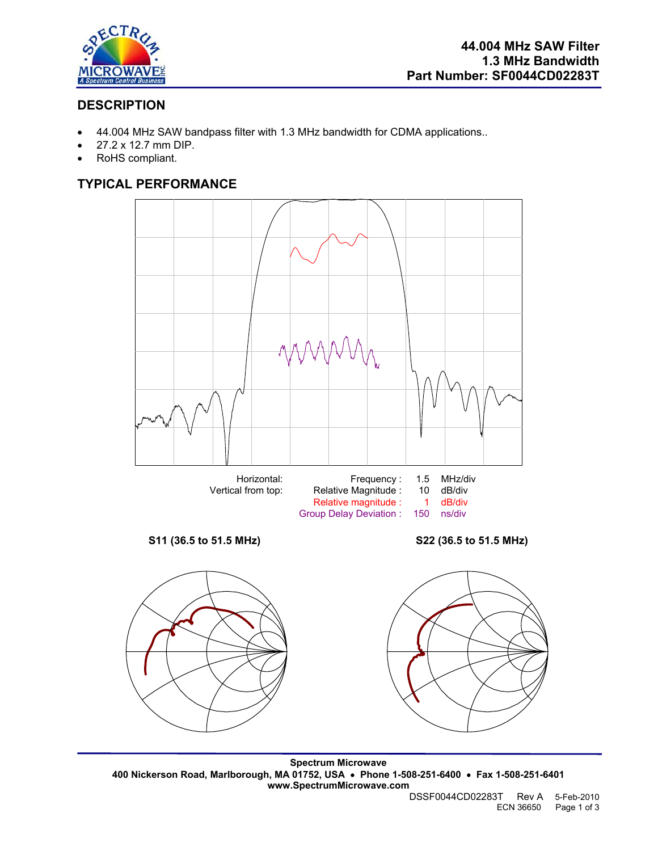

## **DESCRIPTION**

- 44.004 MHz SAW bandpass filter with 1.3 MHz bandwidth for CDMA applications..
- 27.2 x 12.7 mm DIP.
- RoHS compliant.

# **TYPICAL PERFORMANCE**



**Spectrum Microwave 400 Nickerson Road, Marlborough, MA 01752, USA** • **Phone 1-508-251-6400** • **Fax 1-508-251-6401 www.SpectrumMicrowave.com**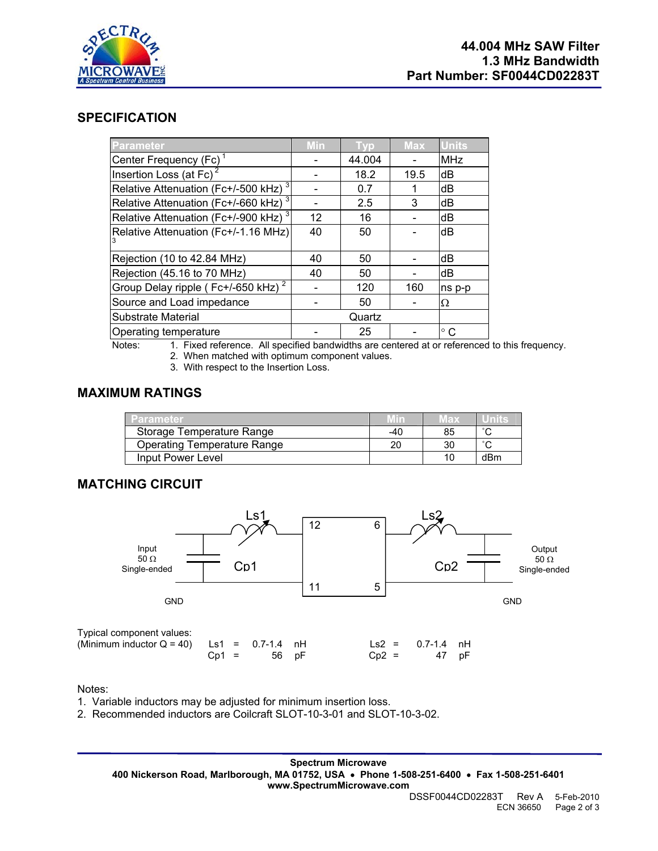

### **SPECIFICATION**

| Parameter                                        | <b>Min</b> | Typ7   | <b>Max</b> | <b>Units</b>  |
|--------------------------------------------------|------------|--------|------------|---------------|
| Center Frequency (Fc) <sup>1</sup>               |            | 44.004 |            | <b>MHz</b>    |
| Insertion Loss (at Fc)                           |            | 18.2   | 19.5       | dB            |
| Relative Attenuation (Fc+/-500 kHz) <sup>3</sup> |            | 0.7    |            | dB            |
| Relative Attenuation (Fc+/-660 kHz) $^3$         |            | 2.5    | 3          | dB            |
| Relative Attenuation (Fc+/-900 kHz) <sup>3</sup> | 12         | 16     |            | dB            |
| Relative Attenuation (Fc+/-1.16 MHz)             | 40         | 50     |            | dB            |
| Rejection (10 to 42.84 MHz)                      | 40         | 50     |            | dB            |
| Rejection (45.16 to 70 MHz)                      | 40         | 50     |            | dB            |
| Group Delay ripple (Fc+/-650 kHz) <sup>2</sup>   |            | 120    | 160        | ns p-p        |
| Source and Load impedance                        |            | 50     |            | Ω             |
| Substrate Material                               |            | Quartz |            |               |
| Operating temperature                            |            | 25     |            | $^{\circ}$ C. |

- Notes: 1. Fixed reference. All specified bandwidths are centered at or referenced to this frequency.
	- 2. When matched with optimum component values.
	- 3. With respect to the Insertion Loss.

#### **MAXIMUM RATINGS**

| Parameter                          |     | иах |     |
|------------------------------------|-----|-----|-----|
| Storage Temperature Range          | -40 |     |     |
| <b>Operating Temperature Range</b> | 20  |     |     |
| Input Power Level                  |     |     | dBm |

### **MATCHING CIRCUIT**



Notes:

- 1. Variable inductors may be adjusted for minimum insertion loss.
- 2. Recommended inductors are Coilcraft SLOT-10-3-01 and SLOT-10-3-02.

**Spectrum Microwave 400 Nickerson Road, Marlborough, MA 01752, USA** • **Phone 1-508-251-6400** • **Fax 1-508-251-6401 www.SpectrumMicrowave.com**